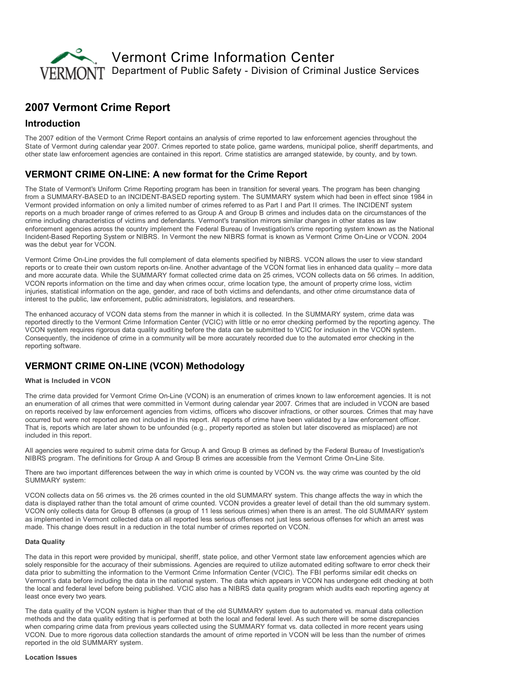

# 2007 Vermont Crime Report

### Introduction

The 2007 edition of the Vermont Crime Report contains an analysis of crime reported to law enforcement agencies throughout the State of Vermont during calendar year 2007. Crimes reported to state police, game wardens, municipal police, sheriff departments, and other state law enforcement agencies are contained in this report. Crime statistics are arranged statewide, by county, and by town.

## VERMONT CRIME ON-LINE: A new format for the Crime Report

The State of Vermont's Uniform Crime Reporting program has been in transition for several years. The program has been changing from a SUMMARY-BASED to an INCIDENT-BASED reporting system. The SUMMARY system which had been in effect since 1984 in Vermont provided information on only a limited number of crimes referred to as Part I and Part II crimes. The INCIDENT system reports on a much broader range of crimes referred to as Group A and Group B crimes and includes data on the circumstances of the crime including characteristics of victims and defendants. Vermont's transition mirrors similar changes in other states as law enforcement agencies across the country implement the Federal Bureau of Investigation's crime reporting system known as the National Incident-Based Reporting System or NIBRS. In Vermont the new NIBRS format is known as Vermont Crime On-Line or VCON, 2004 was the debut year for VCON.

Vermont Crime OnLine provides the full complement of data elements specified by NIBRS. VCON allows the user to view standard reports or to create their own custom reports on-line. Another advantage of the VCON format lies in enhanced data quality – more data and more accurate data. While the SUMMARY format collected crime data on 25 crimes, VCON collects data on 56 crimes. In addition, VCON reports information on the time and day when crimes occur, crime location type, the amount of property crime loss, victim injuries, statistical information on the age, gender, and race of both victims and defendants, and other crime circumstance data of interest to the public, law enforcement, public administrators, legislators, and researchers.

The enhanced accuracy of VCON data stems from the manner in which it is collected. In the SUMMARY system, crime data was reported directly to the Vermont Crime Information Center (VCIC) with little or no error checking performed by the reporting agency. The VCON system requires rigorous data quality auditing before the data can be submitted to VCIC for inclusion in the VCON system. Consequently, the incidence of crime in a community will be more accurately recorded due to the automated error checking in the reporting software.

### **VERMONT CRIME ON-LINE (VCON) Methodology**

#### What is Included in VCON

The crime data provided for Vermont Crime OnLine (VCON) is an enumeration of crimes known to law enforcement agencies. It is not an enumeration of all crimes that were committed in Vermont during calendar year 2007. Crimes that are included in VCON are based on reports received by law enforcement agencies from victims, officers who discover infractions, or other sources. Crimes that may have occurred but were not reported are not included in this report. All reports of crime have been validated by a law enforcement officer. That is, reports which are later shown to be unfounded (e.g., property reported as stolen but later discovered as misplaced) are not included in this report.

All agencies were required to submit crime data for Group A and Group B crimes as defined by the Federal Bureau of Investigation's NIBRS program. The definitions for Group A and Group B crimes are accessible from the Vermont Crime On-Line Site.

There are two important differences between the way in which crime is counted by VCON vs. the way crime was counted by the old SUMMARY system:

VCON collects data on 56 crimes vs. the 26 crimes counted in the old SUMMARY system. This change affects the way in which the data is displayed rather than the total amount of crime counted. VCON provides a greater level of detail than the old summary system. VCON only collects data for Group B offenses (a group of 11 less serious crimes) when there is an arrest. The old SUMMARY system as implemented in Vermont collected data on all reported less serious offenses not just less serious offenses for which an arrest was made. This change does result in a reduction in the total number of crimes reported on VCON.

#### Data Quality

The data in this report were provided by municipal, sheriff, state police, and other Vermont state law enforcement agencies which are solely responsible for the accuracy of their submissions. Agencies are required to utilize automated editing software to error check their data prior to submitting the information to the Vermont Crime Information Center (VCIC). The FBI performs similar edit checks on Vermont's data before including the data in the national system. The data which appears in VCON has undergone edit checking at both the local and federal level before being published. VCIC also has a NIBRS data quality program which audits each reporting agency at least once every two years.

The data quality of the VCON system is higher than that of the old SUMMARY system due to automated vs. manual data collection methods and the data quality editing that is performed at both the local and federal level. As such there will be some discrepancies when comparing crime data from previous years collected using the SUMMARY format vs. data collected in more recent years using VCON. Due to more rigorous data collection standards the amount of crime reported in VCON will be less than the number of crimes reported in the old SUMMARY system.

#### Location Issues